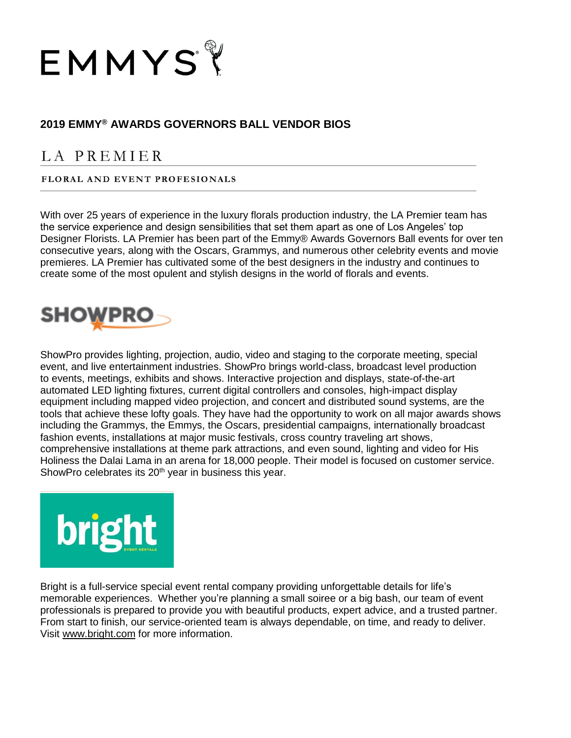

## **2019 EMMY® AWARDS GOVERNORS BALL VENDOR BIOS**

## LA PREMIER

## FLORAL AND EVENT PROFESIONALS

With over 25 years of experience in the luxury florals production industry, the LA Premier team has the service experience and design sensibilities that set them apart as one of Los Angeles' top Designer Florists. LA Premier has been part of the Emmy® Awards Governors Ball events for over ten consecutive years, along with the Oscars, Grammys, and numerous other celebrity events and movie premieres. LA Premier has cultivated some of the best designers in the industry and continues to create some of the most opulent and stylish designs in the world of florals and events.



ShowPro provides lighting, projection, audio, video and staging to the corporate meeting, special event, and live entertainment industries. ShowPro brings world-class, broadcast level production to events, meetings, exhibits and shows. Interactive projection and displays, state-of-the-art automated LED lighting fixtures, current digital controllers and consoles, high-impact display equipment including mapped video projection, and concert and distributed sound systems, are the tools that achieve these lofty goals. They have had the opportunity to work on all major awards shows including the Grammys, the Emmys, the Oscars, presidential campaigns, internationally broadcast fashion events, installations at major music festivals, cross country traveling art shows, comprehensive installations at theme park attractions, and even sound, lighting and video for His Holiness the Dalai Lama in an arena for 18,000 people. Their model is focused on customer service. ShowPro celebrates its 20<sup>th</sup> year in business this year.



Bright is a full-service special event rental company providing unforgettable details for life's memorable experiences. Whether you're planning a small soiree or a big bash, our team of event professionals is prepared to provide you with beautiful products, expert advice, and a trusted partner. From start to finish, our service-oriented team is always dependable, on time, and ready to deliver. Visit [www.bright.com](http://www.bright.com/) for more information.